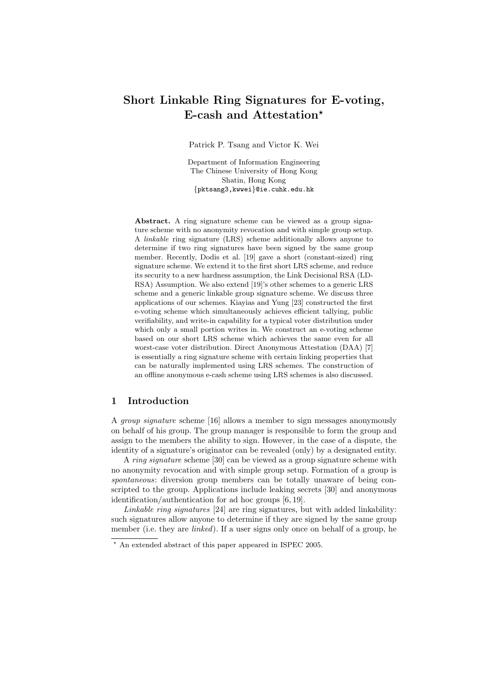# Short Linkable Ring Signatures for E-voting, E-cash and Attestation\*

Patrick P. Tsang and Victor K. Wei

Department of Information Engineering The Chinese University of Hong Kong Shatin, Hong Kong {pktsang3,kwwei}@ie.cuhk.edu.hk

Abstract. A ring signature scheme can be viewed as a group signature scheme with no anonymity revocation and with simple group setup. A linkable ring signature (LRS) scheme additionally allows anyone to determine if two ring signatures have been signed by the same group member. Recently, Dodis et al. [19] gave a short (constant-sized) ring signature scheme. We extend it to the first short LRS scheme, and reduce its security to a new hardness assumption, the Link Decisional RSA (LD-RSA) Assumption. We also extend [19]'s other schemes to a generic LRS scheme and a generic linkable group signature scheme. We discuss three applications of our schemes. Kiayias and Yung [23] constructed the first e-voting scheme which simultaneously achieves efficient tallying, public verifiability, and write-in capability for a typical voter distribution under which only a small portion writes in. We construct an e-voting scheme based on our short LRS scheme which achieves the same even for all worst-case voter distribution. Direct Anonymous Attestation (DAA) [7] is essentially a ring signature scheme with certain linking properties that can be naturally implemented using LRS schemes. The construction of an offline anonymous e-cash scheme using LRS schemes is also discussed.

## 1 Introduction

A group signature scheme [16] allows a member to sign messages anonymously on behalf of his group. The group manager is responsible to form the group and assign to the members the ability to sign. However, in the case of a dispute, the identity of a signature's originator can be revealed (only) by a designated entity.

A *ring signature* scheme [30] can be viewed as a group signature scheme with no anonymity revocation and with simple group setup. Formation of a group is spontaneous: diversion group members can be totally unaware of being conscripted to the group. Applications include leaking secrets [30] and anonymous identification/authentication for ad hoc groups [6, 19].

Linkable ring signatures [24] are ring signatures, but with added linkability: such signatures allow anyone to determine if they are signed by the same group member (i.e. they are *linked*). If a user signs only once on behalf of a group, he

<sup>?</sup> An extended abstract of this paper appeared in ISPEC 2005.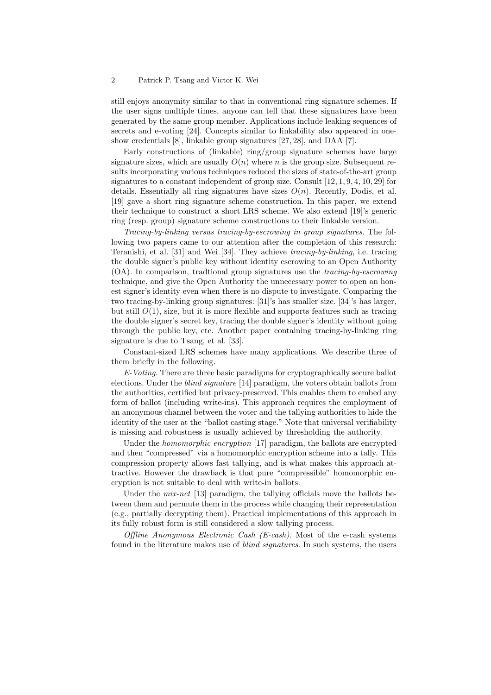still enjoys anonymity similar to that in conventional ring signature schemes. If the user signs multiple times, anyone can tell that these signatures have been generated by the same group member. Applications include leaking sequences of secrets and e-voting [24]. Concepts similar to linkability also appeared in oneshow credentials [8], linkable group signatures [27, 28], and DAA [7].

Early constructions of (linkable) ring/group signature schemes have large signature sizes, which are usually  $O(n)$  where n is the group size. Subsequent results incorporating various techniques reduced the sizes of state-of-the-art group signatures to a constant independent of group size. Consult [12, 1, 9, 4, 10, 29] for details. Essentially all ring signatures have sizes  $O(n)$ . Recently, Dodis, et al. [19] gave a short ring signature scheme construction. In this paper, we extend their technique to construct a short LRS scheme. We also extend [19]'s generic ring (resp. group) signature scheme constructions to their linkable version.

Tracing-by-linking versus tracing-by-escrowing in group signatures. The following two papers came to our attention after the completion of this research: Teranishi, et al. [31] and Wei [34]. They achieve tracing-by-linking, i.e. tracing the double signer's public key without identity escrowing to an Open Authority (OA). In comparison, tradtional group signatures use the tracing-by-escrowing technique, and give the Open Authority the unnecessary power to open an honest signer's identity even when there is no dispute to investigate. Comparing the two tracing-by-linking group signatures: [31]'s has smaller size. [34]'s has larger, but still  $O(1)$ , size, but it is more flexible and supports features such as tracing the double signer's secret key, tracing the double signer's identity without going through the public key, etc. Another paper containing tracing-by-linking ring signature is due to Tsang, et al. [33].

Constant-sized LRS schemes have many applications. We describe three of them briefly in the following.

E-Voting. There are three basic paradigms for cryptographically secure ballot elections. Under the blind signature [14] paradigm, the voters obtain ballots from the authorities, certified but privacy-preserved. This enables them to embed any form of ballot (including write-ins). This approach requires the employment of an anonymous channel between the voter and the tallying authorities to hide the identity of the user at the "ballot casting stage." Note that universal verifiability is missing and robustness is usually achieved by thresholding the authority.

Under the *homomorphic encryption* [17] paradigm, the ballots are encrypted and then "compressed" via a homomorphic encryption scheme into a tally. This compression property allows fast tallying, and is what makes this approach attractive. However the drawback is that pure "compressible" homomorphic encryption is not suitable to deal with write-in ballots.

Under the *mix-net* [13] paradigm, the tallying officials move the ballots between them and permute them in the process while changing their representation (e.g., partially decrypting them). Practical implementations of this approach in its fully robust form is still considered a slow tallying process.

Offline Anonymous Electronic Cash (E-cash). Most of the e-cash systems found in the literature makes use of blind signatures. In such systems, the users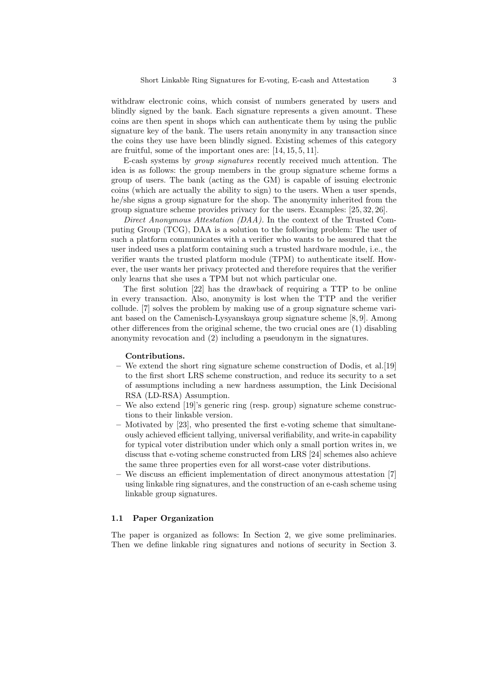withdraw electronic coins, which consist of numbers generated by users and blindly signed by the bank. Each signature represents a given amount. These coins are then spent in shops which can authenticate them by using the public signature key of the bank. The users retain anonymity in any transaction since the coins they use have been blindly signed. Existing schemes of this category are fruitful, some of the important ones are: [14, 15, 5, 11].

E-cash systems by group signatures recently received much attention. The idea is as follows: the group members in the group signature scheme forms a group of users. The bank (acting as the GM) is capable of issuing electronic coins (which are actually the ability to sign) to the users. When a user spends, he/she signs a group signature for the shop. The anonymity inherited from the group signature scheme provides privacy for the users. Examples: [25, 32, 26].

Direct Anonymous Attestation (DAA). In the context of the Trusted Computing Group (TCG), DAA is a solution to the following problem: The user of such a platform communicates with a verifier who wants to be assured that the user indeed uses a platform containing such a trusted hardware module, i.e., the verifier wants the trusted platform module (TPM) to authenticate itself. However, the user wants her privacy protected and therefore requires that the verifier only learns that she uses a TPM but not which particular one.

The first solution [22] has the drawback of requiring a TTP to be online in every transaction. Also, anonymity is lost when the TTP and the verifier collude. [7] solves the problem by making use of a group signature scheme variant based on the Camenisch-Lysyanskaya group signature scheme [8, 9]. Among other differences from the original scheme, the two crucial ones are (1) disabling anonymity revocation and (2) including a pseudonym in the signatures.

## Contributions.

- We extend the short ring signature scheme construction of Dodis, et al.[19] to the first short LRS scheme construction, and reduce its security to a set of assumptions including a new hardness assumption, the Link Decisional RSA (LD-RSA) Assumption.
- We also extend [19]'s generic ring (resp. group) signature scheme constructions to their linkable version.
- Motivated by [23], who presented the first e-voting scheme that simultaneously achieved efficient tallying, universal verifiability, and write-in capability for typical voter distribution under which only a small portion writes in, we discuss that e-voting scheme constructed from LRS [24] schemes also achieve the same three properties even for all worst-case voter distributions.
- We discuss an efficient implementation of direct anonymous attestation [7] using linkable ring signatures, and the construction of an e-cash scheme using linkable group signatures.

## 1.1 Paper Organization

The paper is organized as follows: In Section 2, we give some preliminaries. Then we define linkable ring signatures and notions of security in Section 3.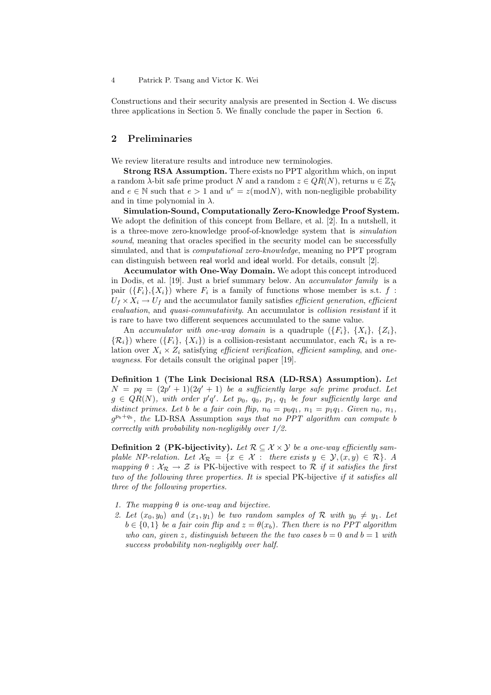Constructions and their security analysis are presented in Section 4. We discuss three applications in Section 5. We finally conclude the paper in Section 6.

## 2 Preliminaries

We review literature results and introduce new terminologies.

Strong RSA Assumption. There exists no PPT algorithm which, on input a random  $\lambda$ -bit safe prime product N and a random  $z \in QR(N)$ , returns  $u \in \mathbb{Z}_N^*$ and  $e \in \mathbb{N}$  such that  $e > 1$  and  $u^e = z \pmod{N}$ , with non-negligible probability and in time polynomial in  $\lambda$ .

Simulation-Sound, Computationally Zero-Knowledge Proof System. We adopt the definition of this concept from Bellare, et al. [2]. In a nutshell, it is a three-move zero-knowledge proof-of-knowledge system that is simulation sound, meaning that oracles specified in the security model can be successfully simulated, and that is *computational zero-knowledge*, meaning no PPT program can distinguish between real world and ideal world. For details, consult [2].

Accumulator with One-Way Domain. We adopt this concept introduced in Dodis, et al. [19]. Just a brief summary below. An accumulator family is a pair  $(\{F_i\}, \{X_i\})$  where  $F_i$  is a family of functions whose member is s.t. f:  $U_f \times X_i \rightarrow U_f$  and the accumulator family satisfies *efficient generation*, *efficient* evaluation, and quasi-commutativity. An accumulator is collision resistant if it is rare to have two different sequences accumulated to the same value.

An accumulator with one-way domain is a quadruple  $(\{F_i\}, \{X_i\}, \{Z_i\},\$  $\{\mathcal{R}_i\}$ ) where  $(\{F_i\}, \{X_i\})$  is a collision-resistant accumulator, each  $\mathcal{R}_i$  is a relation over  $X_i \times Z_i$  satisfying *efficient verification, efficient sampling*, and *one*wayness. For details consult the original paper [19].

Definition 1 (The Link Decisional RSA (LD-RSA) Assumption). Let  $N = pq = (2p' + 1)(2q' + 1)$  be a sufficiently large safe prime product. Let  $g \in QR(N)$ , with order  $p'q'$ . Let  $p_0$ ,  $q_0$ ,  $p_1$ ,  $q_1$  be four sufficiently large and distinct primes. Let b be a fair coin flip,  $n_0 = p_0q_1$ ,  $n_1 = p_1q_1$ . Given  $n_0$ ,  $n_1$ ,  $g^{p_b+q_b}$ , the LD-RSA Assumption says that no PPT algorithm can compute b correctly with probability non-negligibly over 1/2.

**Definition 2 (PK-bijectivity).** Let  $\mathcal{R} \subseteq \mathcal{X} \times \mathcal{Y}$  be a one-way efficiently samplable NP-relation. Let  $\mathcal{X}_{\mathcal{R}} = \{x \in \mathcal{X} : \text{there exists } y \in \mathcal{Y}, (x, y) \in \mathcal{R}\}.$  A mapping  $\theta$  :  $\mathcal{X}_{\mathcal{R}} \to \mathcal{Z}$  is PK-bijective with respect to R if it satisfies the first two of the following three properties. It is special PK-bijective if it satisfies all three of the following properties.

- 1. The mapping  $\theta$  is one-way and bijective.
- 2. Let  $(x_0, y_0)$  and  $(x_1, y_1)$  be two random samples of R with  $y_0 \neq y_1$ . Let  $b \in \{0,1\}$  be a fair coin flip and  $z = \theta(x_b)$ . Then there is no PPT algorithm who can, given z, distinguish between the the two cases  $b = 0$  and  $b = 1$  with success probability non-negligibly over half.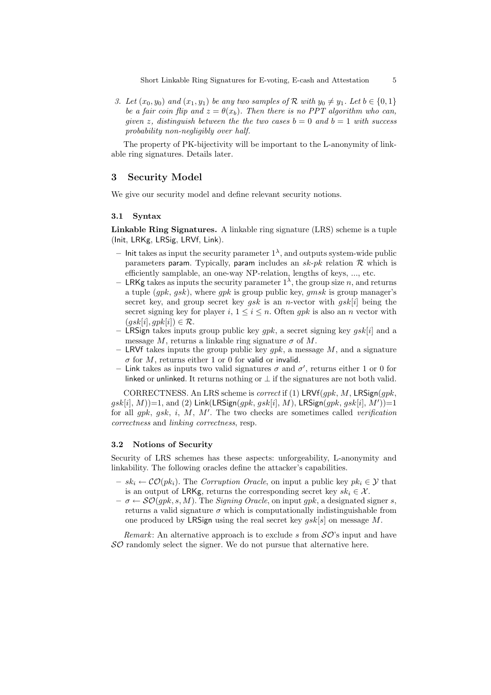3. Let  $(x_0, y_0)$  and  $(x_1, y_1)$  be any two samples of R with  $y_0 \neq y_1$ . Let  $b \in \{0, 1\}$ be a fair coin flip and  $z = \theta(x_b)$ . Then there is no PPT algorithm who can, given z, distinguish between the the two cases  $b = 0$  and  $b = 1$  with success probability non-negligibly over half.

The property of PK-bijectivity will be important to the L-anonymity of linkable ring signatures. Details later.

## 3 Security Model

We give our security model and define relevant security notions.

### 3.1 Syntax

Linkable Ring Signatures. A linkable ring signature (LRS) scheme is a tuple (Init, LRKg, LRSig, LRVf, Link).

- Init takes as input the security parameter  $1^{\lambda}$ , and outputs system-wide public parameters param. Typically, param includes an  $sk-pk$  relation  $R$  which is efficiently samplable, an one-way NP-relation, lengths of keys, ..., etc.
- LRKg takes as inputs the security parameter  $1^{\lambda}$ , the group size n, and returns a tuple  $(qpk, gsk)$ , where  $qpk$  is group public key,  $qmsk$  is group manager's secret key, and group secret key  $gsk$  is an *n*-vector with  $gsk[i]$  being the secret signing key for player i,  $1 \le i \le n$ . Often *qpk* is also an *n* vector with  $(gsk[i], qpk[i]) \in \mathcal{R}.$
- LRSign takes inputs group public key *qpk*, a secret signing key *qsk*[*i*] and a message M, returns a linkable ring signature  $\sigma$  of M.
- LRVf takes inputs the group public key  $qpk$ , a message M, and a signature  $\sigma$  for M, returns either 1 or 0 for valid or invalid.
- Link takes as inputs two valid signatures  $\sigma$  and  $\sigma'$ , returns either 1 or 0 for linked or unlinked. It returns nothing or  $\perp$  if the signatures are not both valid.

CORRECTNESS. An LRS scheme is *correct* if (1) LRVf(*qpk*, M, LRSign(*qpk*,  $gsk[i], M)$ =1, and (2) Link(LRSign( $gpk, gsk[i], M$ ), LRSign( $gpk, gsk[i], M')$ )=1 for all  $gpk$ ,  $gsk$ ,  $i$ ,  $M$ ,  $M'$ . The two checks are sometimes called verification correctness and linking correctness, resp.

#### 3.2 Notions of Security

Security of LRS schemes has these aspects: unforgeability, L-anonymity and linkability. The following oracles define the attacker's capabilities.

- $sk_i \leftarrow \mathcal{CO}(pk_i)$ . The Corruption Oracle, on input a public key  $pk_i \in \mathcal{Y}$  that is an output of LRKg, returns the corresponding secret key  $sk_i \in \mathcal{X}$ .
- $-\sigma \leftarrow \mathcal{SO}(gpk, s, M)$ . The *Signing Oracle*, on input gpk, a designated signer s, returns a valid signature  $\sigma$  which is computationally indistinguishable from one produced by LRSign using the real secret key  $qsk[s]$  on message M.

*Remark*: An alternative approach is to exclude s from  $\mathcal{SO}$ 's input and have  $\mathcal{SO}$  randomly select the signer. We do not pursue that alternative here.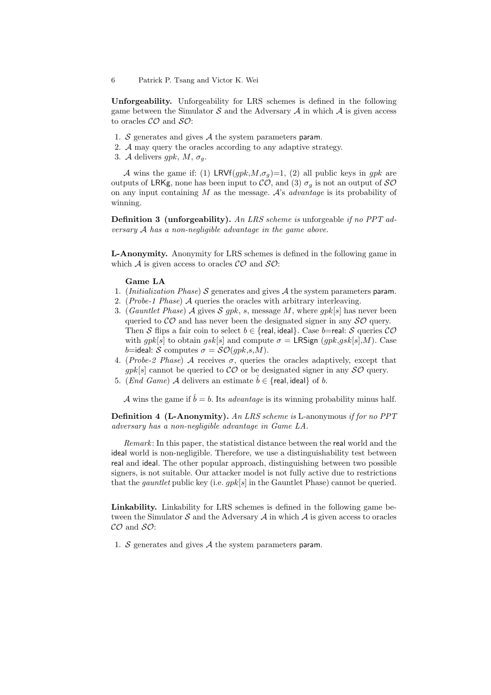Unforgeability. Unforgeability for LRS schemes is defined in the following game between the Simulator  $\mathcal S$  and the Adversary  $\mathcal A$  in which  $\mathcal A$  is given access to oracles  $\mathcal{CO}$  and  $\mathcal{SO}$ :

- 1. S generates and gives  $A$  the system parameters param.
- 2. A may query the oracles according to any adaptive strategy.
- 3. A delivers gpk,  $M$ ,  $\sigma_q$ .

A wins the game if: (1) LRVf $(gpk, M, \sigma_q)=1$ , (2) all public keys in gpk are outputs of LRKg, none has been input to  $\mathcal{CO}$ , and (3)  $\sigma_q$  is not an output of  $\mathcal{SO}$ on any input containing  $M$  as the message.  $A$ 's *advantage* is its probability of winning.

**Definition 3 (unforgeability).** An LRS scheme is unforgeable if no PPT adversary A has a non-negligible advantage in the game above.

L-Anonymity. Anonymity for LRS schemes is defined in the following game in which  $A$  is given access to oracles  $CO$  and  $SO$ :

#### Game LA

- 1. (*Initialization Phase*) S generates and gives  $A$  the system parameters param.
- 2. (Probe-1 Phase) A queries the oracles with arbitrary interleaving.
- 3. (Gauntlet Phase) A gives S gpk, s, message M, where  $qpk[s]$  has never been queried to  $\mathcal{CO}$  and has never been the designated signer in any  $\mathcal{SO}$  query. Then S flips a fair coin to select  $b \in \{$ real, ideal $\}$ . Case b=real: S queries  $CO$ with gpk[s] to obtain gsk[s] and compute  $\sigma = \text{LRSign}(gpk, gsk[s], M)$ . Case b=ideal: S computes  $\sigma = \mathcal{SO}(qpk, s, M)$ .
- 4. (Probe-2 Phase) A receives  $\sigma$ , queries the oracles adaptively, except that  $qpk[s]$  cannot be queried to  $\mathcal{CO}$  or be designated signer in any  $\mathcal{SO}$  query.
- 5. (*End Game*) A delivers an estimate  $\hat{b} \in \{$ real, ideal  $\}$  of b.

A wins the game if  $\hat{b} = b$ . Its *advantage* is its winning probability minus half.

Definition 4 (L-Anonymity). An LRS scheme is L-anonymous if for no PPT adversary has a non-negligible advantage in Game LA.

Remark: In this paper, the statistical distance between the real world and the ideal world is non-negligible. Therefore, we use a distinguishability test between real and ideal. The other popular approach, distinguishing between two possible signers, is not suitable. Our attacker model is not fully active due to restrictions that the *gauntlet* public key (i.e.  $qpk[s]$  in the Gauntlet Phase) cannot be queried.

Linkability. Linkability for LRS schemes is defined in the following game between the Simulator  $S$  and the Adversary  $A$  in which  $A$  is given access to oracles  $CO$  and  $SO$ :

1. S generates and gives  $A$  the system parameters param.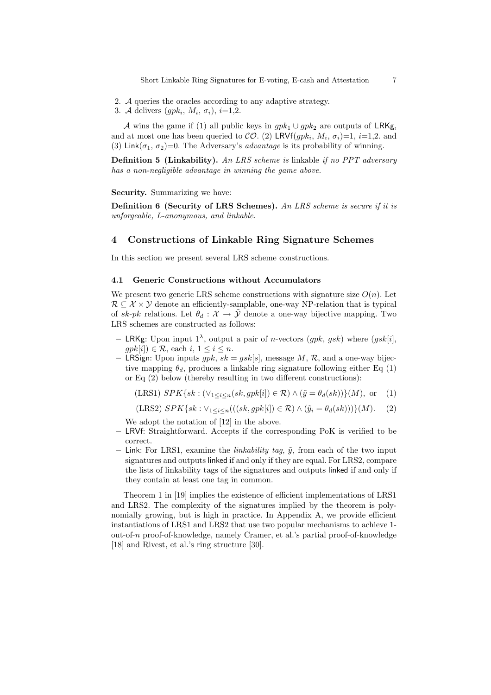- 2. A queries the oracles according to any adaptive strategy.
- 3. A delivers  $(gpk_i, M_i, \sigma_i), i=1,2.$

A wins the game if (1) all public keys in  $gpk_1 \cup gpk_2$  are outputs of LRKg, and at most one has been queried to  $CO. (2)$  LRVf $(gpk<sub>i</sub>, M<sub>i</sub>, \sigma<sub>i</sub>)=1, i=1,2$ . and (3) Link $(\sigma_1, \sigma_2)$ =0. The Adversary's *advantage* is its probability of winning.

**Definition 5 (Linkability).** An LRS scheme is linkable if no PPT adversary has a non-negligible advantage in winning the game above.

Security. Summarizing we have:

**Definition 6 (Security of LRS Schemes).** An LRS scheme is secure if it is unforgeable, L-anonymous, and linkable.

## 4 Constructions of Linkable Ring Signature Schemes

In this section we present several LRS scheme constructions.

## 4.1 Generic Constructions without Accumulators

We present two generic LRS scheme constructions with signature size  $O(n)$ . Let  $\mathcal{R} \subseteq \mathcal{X} \times \mathcal{Y}$  denote an efficiently-samplable, one-way NP-relation that is typical of sk-pk relations. Let  $\theta_d : \mathcal{X} \to \tilde{\mathcal{Y}}$  denote a one-way bijective mapping. Two LRS schemes are constructed as follows:

- LRKg: Upon input 1<sup> $\lambda$ </sup>, output a pair of *n*-vectors (*gpk*, *gsk*) where (*gsk*[*i*],  $gpk[i]) \in \mathcal{R}$ , each  $i, 1 \leq i \leq n$ .
- LRSign: Upon inputs  $qpk$ ,  $sk = gsk[s]$ , message M, R, and a one-way bijective mapping  $\theta_d$ , produces a linkable ring signature following either Eq (1) or Eq (2) below (thereby resulting in two different constructions):

(LRS1) 
$$
SPK\{sk : (\vee_{1 \leq i \leq n} (sk, gpk[i]) \in \mathcal{R}) \wedge (\tilde{y} = \theta_d(sk))\}(M)
$$
, or (1)

(LRS2)  $SPK\{sk : \vee_{1 \leq i \leq n}(((sk, gpk[i]) \in \mathcal{R}) \wedge (\tilde{y}_i = \theta_d(sk)))\}(M).$  (2)

We adopt the notation of [12] in the above.

- LRVf: Straightforward. Accepts if the corresponding PoK is verified to be correct.
- Link: For LRS1, examine the *linkability tag*,  $\tilde{y}$ , from each of the two input signatures and outputs linked if and only if they are equal. For LRS2, compare the lists of linkability tags of the signatures and outputs linked if and only if they contain at least one tag in common.

Theorem 1 in [19] implies the existence of efficient implementations of LRS1 and LRS2. The complexity of the signatures implied by the theorem is polynomially growing, but is high in practice. In Appendix A, we provide efficient instantiations of LRS1 and LRS2 that use two popular mechanisms to achieve 1 out-of-n proof-of-knowledge, namely Cramer, et al.'s partial proof-of-knowledge [18] and Rivest, et al.'s ring structure [30].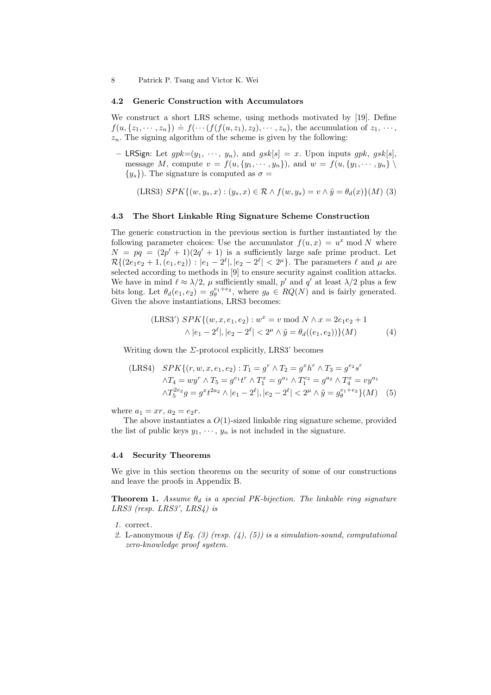#### 4.2 Generic Construction with Accumulators

We construct a short LRS scheme, using methods motivated by [19]. Define  $f(u, \{z_1, \dots, z_n\}) \doteq f(\dots(f(f(u, z_1), z_2), \dots, z_n))$ , the accumulation of  $z_1, \dots, z_n$  $z_n$ . The signing algorithm of the scheme is given by the following:

– LRSign: Let  $gpk=(y_1, \dots, y_n)$ , and  $gsk[s] = x$ . Upon inputs  $gpk$ ,  $gsk[s]$ , message M, compute  $v = f(u, \{y_1, \dots, y_n\})$ , and  $w = f(u, \{y_1, \dots, y_n\})$  $\{y_s\}$ ). The signature is computed as  $\sigma =$ 

(LRS3)  $SPK{ (w, y_s, x) : (y_s, x) \in \mathcal{R} \wedge f(w, y_s) = v \wedge \tilde{y} = \theta_d(x) \} (M)$  (3)

#### 4.3 The Short Linkable Ring Signature Scheme Construction

The generic construction in the previous section is further instantiated by the following parameter choices: Use the accumulator  $f(u, x) = u^x \mod N$  where  $N = pq = (2p' + 1)(2q' + 1)$  is a sufficiently large safe prime product. Let  $\mathcal{R}{ (2e_1e_2 + 1, (e_1, e_2)) : |e_1 - 2^{\ell}|, |e_2 - 2^{\ell}| < 2^{\mu} }.$  The parameters  $\ell$  and  $\mu$  are selected according to methods in [9] to ensure security against coalition attacks. We have in mind  $\ell \approx \lambda/2$ ,  $\mu$  sufficiently small,  $p'$  and  $q'$  at least  $\lambda/2$  plus a few bits long. Let  $\theta_d(e_1, e_2) = g_\theta^{e_1+e_2}$ , where  $g_\theta \in RQ(N)$  and is fairly generated. Given the above instantiations, LRS3 becomes:

(LRS3') 
$$
SPK\{(w, x, e_1, e_2) : w^x = v \text{ mod } N \wedge x = 2e_1e_2 + 1
$$
  
  $\wedge |e_1 - 2^{\ell}|, |e_2 - 2^{\ell}| < 2^{\mu} \wedge \tilde{y} = \theta_d((e_1, e_2))\}(M)$  (4)

Writing down the  $\Sigma$ -protocol explicitly, LRS3' becomes

(LRS4) 
$$
SPK\{(r, w, x, e_1, e_2) : T_1 = g^r \wedge T_2 = g^x h^r \wedge T_3 = g^{e_2} s^r
$$

$$
\wedge T_4 = w y^r \wedge T_5 = g^{e_1} t^r \wedge T_4^x = g^{a_1} \wedge T_1^{e_2} = g^{a_2} \wedge T_4^x = v y^{a_1}
$$

$$
\wedge T_5^{2e_2} g = g^x t^{2a_2} \wedge |e_1 - 2^\ell|, |e_2 - 2^\ell| < 2^\mu \wedge \tilde{y} = g_\theta^{e_1 + e_2} \}(M) \tag{5}
$$

where  $a_1 = xr, a_2 = e_2r$ .

The above instantiates a  $O(1)$ -sized linkable ring signature scheme, provided the list of public keys  $y_1, \dots, y_n$  is not included in the signature.

#### 4.4 Security Theorems

We give in this section theorems on the security of some of our constructions and leave the proofs in Appendix B.

**Theorem 1.** Assume  $\theta_d$  is a special PK-bijection. The linkable ring signature LRS3 (resp. LRS3', LRS4) is

- 1. correct.
- 2. L-anonymous if Eq. (3) (resp. (4), (5)) is a simulation-sound, computational zero-knowledge proof system.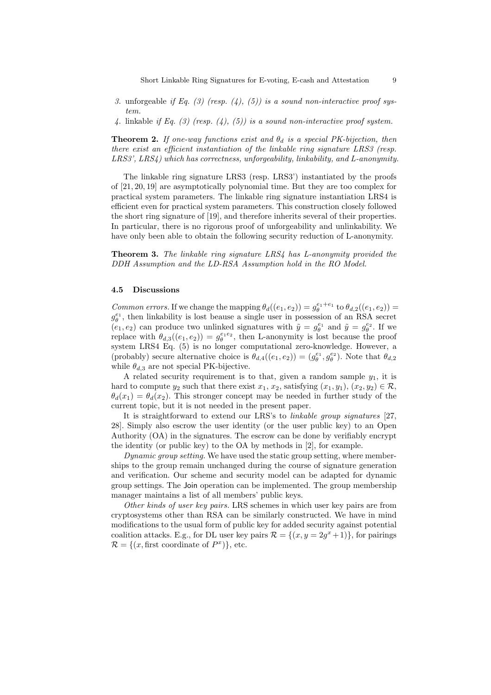- 3. unforgeable if Eq. (3) (resp. (4), (5)) is a sound non-interactive proof system.
- 4. linkable if Eq. (3) (resp. (4), (5)) is a sound non-interactive proof system.

**Theorem 2.** If one-way functions exist and  $\theta_d$  is a special PK-bijection, then there exist an efficient instantiation of the linkable ring signature LRS3 (resp. LRS3', LRS4) which has correctness, unforgeability, linkability, and L-anonymity.

The linkable ring signature LRS3 (resp. LRS3') instantiated by the proofs of [21, 20, 19] are asymptotically polynomial time. But they are too complex for practical system parameters. The linkable ring signature instantiation LRS4 is efficient even for practical system parameters. This construction closely followed the short ring signature of [19], and therefore inherits several of their properties. In particular, there is no rigorous proof of unforgeability and unlinkability. We have only been able to obtain the following security reduction of L-anonymity.

Theorem 3. The linkable ring signature LRS4 has L-anonymity provided the DDH Assumption and the LD-RSA Assumption hold in the RO Model.

#### 4.5 Discussions

Common errors. If we change the mapping  $\theta_d((e_1,e_2)) = g_\theta^{e_1+e_1}$  to  $\theta_{d,2}((e_1,e_2)) =$  $g_{\theta}^{e_1}$ , then linkability is lost beause a single user in possession of an RSA secret  $(e_1, e_2)$  can produce two unlinked signatures with  $\tilde{y} = g_\theta^{e_1}$  and  $\tilde{y} = g_\theta^{e_2}$ . If we replace with  $\theta_{d,3}((e_1, e_2)) = g_\theta^{e_1e_2}$ , then L-anonymity is lost because the proof system LRS4 Eq. (5) is no longer computational zero-knowledge. However, a (probably) secure alternative choice is  $\theta_{d,4}((e_1,e_2)) = (g_\theta^{e_1}, g_\theta^{e_2})$ . Note that  $\theta_{d,2}$ while  $\theta_{d,3}$  are not special PK-bijective.

A related security requirement is to that, given a random sample  $y_1$ , it is hard to compute  $y_2$  such that there exist  $x_1, x_2$ , satisfying  $(x_1, y_1), (x_2, y_2) \in \mathcal{R}$ ,  $\theta_d(x_1) = \theta_d(x_2)$ . This stronger concept may be needed in further study of the current topic, but it is not needed in the present paper.

It is straightforward to extend our LRS's to linkable group signatures [27, 28]. Simply also escrow the user identity (or the user public key) to an Open Authority (OA) in the signatures. The escrow can be done by verifiably encrypt the identity (or public key) to the OA by methods in [2], for example.

Dynamic group setting. We have used the static group setting, where memberships to the group remain unchanged during the course of signature generation and verification. Our scheme and security model can be adapted for dynamic group settings. The Join operation can be implemented. The group membership manager maintains a list of all members' public keys.

Other kinds of user key pairs. LRS schemes in which user key pairs are from cryptosystems other than RSA can be similarly constructed. We have in mind modifications to the usual form of public key for added security against potential coalition attacks. E.g., for DL user key pairs  $\mathcal{R} = \{(x, y = 2g^x + 1)\}\,$  for pairings  $\mathcal{R} = \{(x, \text{first coordinate of } P^x)\},$  etc.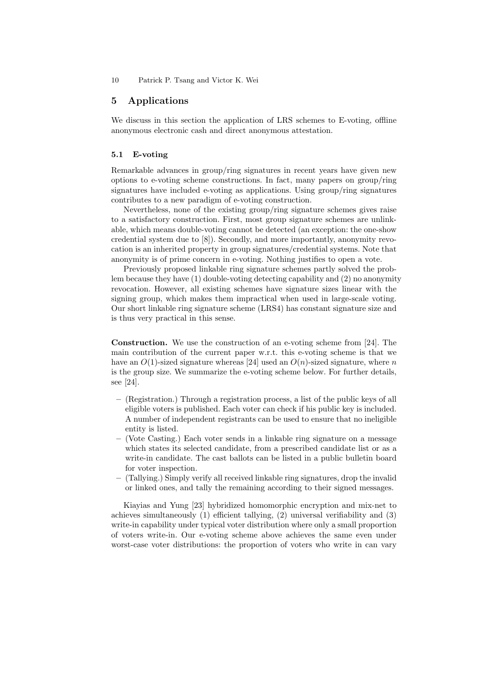## 5 Applications

We discuss in this section the application of LRS schemes to E-voting, offline anonymous electronic cash and direct anonymous attestation.

#### 5.1 E-voting

Remarkable advances in group/ring signatures in recent years have given new options to e-voting scheme constructions. In fact, many papers on group/ring signatures have included e-voting as applications. Using group/ring signatures contributes to a new paradigm of e-voting construction.

Nevertheless, none of the existing group/ring signature schemes gives raise to a satisfactory construction. First, most group signature schemes are unlinkable, which means double-voting cannot be detected (an exception: the one-show credential system due to [8]). Secondly, and more importantly, anonymity revocation is an inherited property in group signatures/credential systems. Note that anonymity is of prime concern in e-voting. Nothing justifies to open a vote.

Previously proposed linkable ring signature schemes partly solved the problem because they have (1) double-voting detecting capability and (2) no anonymity revocation. However, all existing schemes have signature sizes linear with the signing group, which makes them impractical when used in large-scale voting. Our short linkable ring signature scheme (LRS4) has constant signature size and is thus very practical in this sense.

Construction. We use the construction of an e-voting scheme from [24]. The main contribution of the current paper w.r.t. this e-voting scheme is that we have an  $O(1)$ -sized signature whereas [24] used an  $O(n)$ -sized signature, where n is the group size. We summarize the e-voting scheme below. For further details, see [24].

- (Registration.) Through a registration process, a list of the public keys of all eligible voters is published. Each voter can check if his public key is included. A number of independent registrants can be used to ensure that no ineligible entity is listed.
- (Vote Casting.) Each voter sends in a linkable ring signature on a message which states its selected candidate, from a prescribed candidate list or as a write-in candidate. The cast ballots can be listed in a public bulletin board for voter inspection.
- (Tallying.) Simply verify all received linkable ring signatures, drop the invalid or linked ones, and tally the remaining according to their signed messages.

Kiayias and Yung [23] hybridized homomorphic encryption and mix-net to achieves simultaneously (1) efficient tallying, (2) universal verifiability and (3) write-in capability under typical voter distribution where only a small proportion of voters write-in. Our e-voting scheme above achieves the same even under worst-case voter distributions: the proportion of voters who write in can vary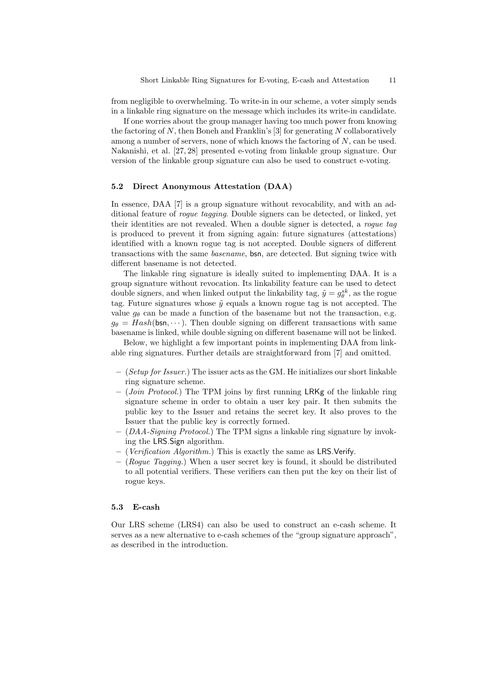from negligible to overwhelming. To write-in in our scheme, a voter simply sends in a linkable ring signature on the message which includes its write-in candidate.

If one worries about the group manager having too much power from knowing the factoring of  $N$ , then Boneh and Franklin's [3] for generating  $N$  collaboratively among a number of servers, none of which knows the factoring of  $N$ , can be used. Nakanishi, et al. [27, 28] presented e-voting from linkable group signature. Our version of the linkable group signature can also be used to construct e-voting.

#### 5.2 Direct Anonymous Attestation (DAA)

In essence, DAA [7] is a group signature without revocability, and with an additional feature of rogue tagging. Double signers can be detected, or linked, yet their identities are not revealed. When a double signer is detected, a rogue tag is produced to prevent it from signing again: future signatures (attestations) identified with a known rogue tag is not accepted. Double signers of different transactions with the same basename, bsn, are detected. But signing twice with different basename is not detected.

The linkable ring signature is ideally suited to implementing DAA. It is a group signature without revocation. Its linkability feature can be used to detect double signers, and when linked output the linkability tag,  $\tilde{y} = g_{\theta}^{sk}$ , as the rogue tag. Future signatures whose  $\tilde{y}$  equals a known rogue tag is not accepted. The value  $g_{\theta}$  can be made a function of the basename but not the transaction, e.g.  $g_{\theta} = Hash(\mathsf{bsn}, \dots)$ . Then double signing on different transactions with same basename is linked, while double signing on different basename will not be linked.

Below, we highlight a few important points in implementing DAA from linkable ring signatures. Further details are straightforward from [7] and omitted.

- $-$  (Setup for Issuer.) The issuer acts as the GM. He initializes our short linkable ring signature scheme.
- (Join Protocol.) The TPM joins by first running LRKg of the linkable ring signature scheme in order to obtain a user key pair. It then submits the public key to the Issuer and retains the secret key. It also proves to the Issuer that the public key is correctly formed.
- (DAA-Signing Protocol.) The TPM signs a linkable ring signature by invoking the LRS.Sign algorithm.
- (Verification Algorithm.) This is exactly the same as LRS.Verify.
- $-$  (Roque Tagging.) When a user secret key is found, it should be distributed to all potential verifiers. These verifiers can then put the key on their list of rogue keys.

#### 5.3 E-cash

Our LRS scheme (LRS4) can also be used to construct an e-cash scheme. It serves as a new alternative to e-cash schemes of the "group signature approach", as described in the introduction.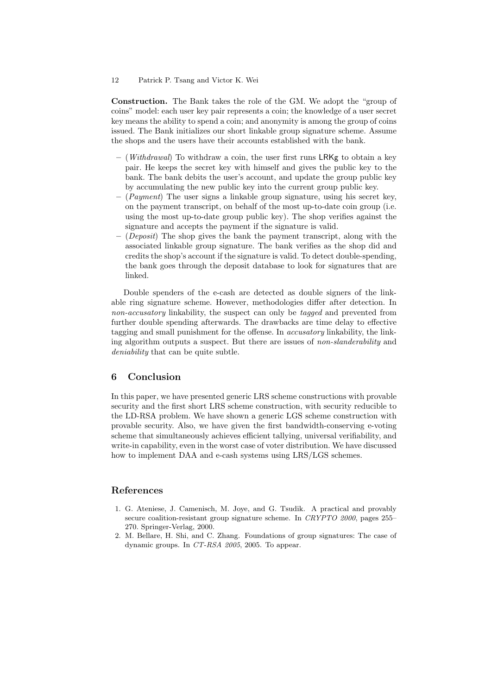Construction. The Bank takes the role of the GM. We adopt the "group of coins" model: each user key pair represents a coin; the knowledge of a user secret key means the ability to spend a coin; and anonymity is among the group of coins issued. The Bank initializes our short linkable group signature scheme. Assume the shops and the users have their accounts established with the bank.

- $-$  (*Withdrawal*) To withdraw a coin, the user first runs LRKg to obtain a key pair. He keeps the secret key with himself and gives the public key to the bank. The bank debits the user's account, and update the group public key by accumulating the new public key into the current group public key.
- $-$  (*Payment*) The user signs a linkable group signature, using his secret key, on the payment transcript, on behalf of the most up-to-date coin group (i.e. using the most up-to-date group public key). The shop verifies against the signature and accepts the payment if the signature is valid.
- $-$  (*Deposit*) The shop gives the bank the payment transcript, along with the associated linkable group signature. The bank verifies as the shop did and credits the shop's account if the signature is valid. To detect double-spending, the bank goes through the deposit database to look for signatures that are linked.

Double spenders of the e-cash are detected as double signers of the linkable ring signature scheme. However, methodologies differ after detection. In non-accusatory linkability, the suspect can only be tagged and prevented from further double spending afterwards. The drawbacks are time delay to effective tagging and small punishment for the offense. In accusatory linkability, the linking algorithm outputs a suspect. But there are issues of non-slanderability and deniability that can be quite subtle.

## 6 Conclusion

In this paper, we have presented generic LRS scheme constructions with provable security and the first short LRS scheme construction, with security reducible to the LD-RSA problem. We have shown a generic LGS scheme construction with provable security. Also, we have given the first bandwidth-conserving e-voting scheme that simultaneously achieves efficient tallying, universal verifiability, and write-in capability, even in the worst case of voter distribution. We have discussed how to implement DAA and e-cash systems using LRS/LGS schemes.

## References

- 1. G. Ateniese, J. Camenisch, M. Joye, and G. Tsudik. A practical and provably secure coalition-resistant group signature scheme. In CRYPTO 2000, pages 255– 270. Springer-Verlag, 2000.
- 2. M. Bellare, H. Shi, and C. Zhang. Foundations of group signatures: The case of dynamic groups. In CT-RSA 2005, 2005. To appear.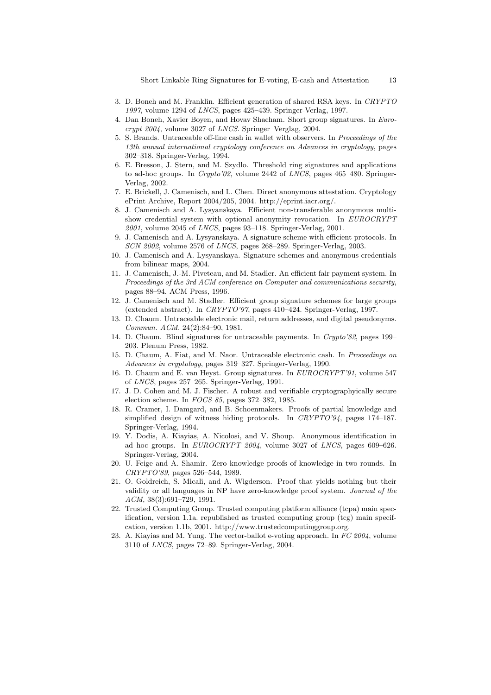Short Linkable Ring Signatures for E-voting, E-cash and Attestation 13

- 3. D. Boneh and M. Franklin. Efficient generation of shared RSA keys. In CRYPTO 1997, volume 1294 of LNCS, pages 425–439. Springer-Verlag, 1997.
- 4. Dan Boneh, Xavier Boyen, and Hovav Shacham. Short group signatures. In Eurocrypt 2004, volume 3027 of LNCS. Springer–Verglag, 2004.
- 5. S. Brands. Untraceable off-line cash in wallet with observers. In Proceedings of the 13th annual international cryptology conference on Advances in cryptology, pages 302–318. Springer-Verlag, 1994.
- 6. E. Bresson, J. Stern, and M. Szydlo. Threshold ring signatures and applications to ad-hoc groups. In Crypto'02, volume 2442 of LNCS, pages 465–480. Springer-Verlag, 2002.
- 7. E. Brickell, J. Camenisch, and L. Chen. Direct anonymous attestation. Cryptology ePrint Archive, Report 2004/205, 2004. http://eprint.iacr.org/.
- 8. J. Camenisch and A. Lysyanskaya. Efficient non-transferable anonymous multishow credential system with optional anonymity revocation. In EUROCRYPT  $2001$ , volume 2045 of *LNCS*, pages 93–118. Springer-Verlag, 2001.
- 9. J. Camenisch and A. Lysyanskaya. A signature scheme with efficient protocols. In SCN 2002, volume 2576 of LNCS, pages 268–289. Springer-Verlag, 2003.
- 10. J. Camenisch and A. Lysyanskaya. Signature schemes and anonymous credentials from bilinear maps, 2004.
- 11. J. Camenisch, J.-M. Piveteau, and M. Stadler. An efficient fair payment system. In Proceedings of the 3rd ACM conference on Computer and communications security, pages 88–94. ACM Press, 1996.
- 12. J. Camenisch and M. Stadler. Efficient group signature schemes for large groups (extended abstract). In CRYPTO'97, pages 410–424. Springer-Verlag, 1997.
- 13. D. Chaum. Untraceable electronic mail, return addresses, and digital pseudonyms. Commun. ACM, 24(2):84–90, 1981.
- 14. D. Chaum. Blind signatures for untraceable payments. In Crypto'82, pages 199– 203. Plenum Press, 1982.
- 15. D. Chaum, A. Fiat, and M. Naor. Untraceable electronic cash. In Proceedings on Advances in cryptology, pages 319–327. Springer-Verlag, 1990.
- 16. D. Chaum and E. van Heyst. Group signatures. In EUROCRYPT'91, volume 547 of LNCS, pages 257–265. Springer-Verlag, 1991.
- 17. J. D. Cohen and M. J. Fischer. A robust and verifiable cryptographyically secure election scheme. In FOCS 85, pages 372–382, 1985.
- 18. R. Cramer, I. Damgard, and B. Schoenmakers. Proofs of partial knowledge and simplified design of witness hiding protocols. In CRYPTO'94, pages 174–187. Springer-Verlag, 1994.
- 19. Y. Dodis, A. Kiayias, A. Nicolosi, and V. Shoup. Anonymous identification in ad hoc groups. In EUROCRYPT 2004, volume 3027 of LNCS, pages 609–626. Springer-Verlag, 2004.
- 20. U. Feige and A. Shamir. Zero knowledge proofs of knowledge in two rounds. In CRYPTO'89, pages 526–544, 1989.
- 21. O. Goldreich, S. Micali, and A. Wigderson. Proof that yields nothing but their validity or all languages in NP have zero-knowledge proof system. Journal of the ACM, 38(3):691–729, 1991.
- 22. Trusted Computing Group. Trusted computing platform alliance (tcpa) main specification, version 1.1a. republished as trusted computing group (tcg) main specifcation, version 1.1b, 2001. http://www.trustedcomputinggroup.org.
- 23. A. Kiayias and M. Yung. The vector-ballot e-voting approach. In FC 2004, volume 3110 of LNCS, pages 72–89. Springer-Verlag, 2004.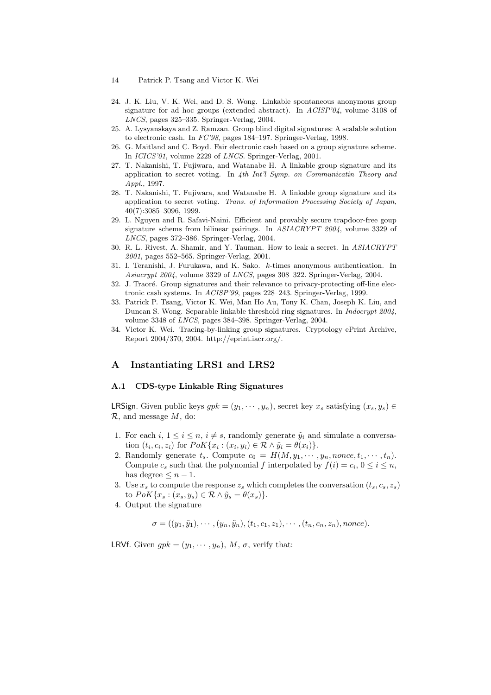- 14 Patrick P. Tsang and Victor K. Wei
- 24. J. K. Liu, V. K. Wei, and D. S. Wong. Linkable spontaneous anonymous group signature for ad hoc groups (extended abstract). In ACISP'04, volume 3108 of LNCS, pages 325–335. Springer-Verlag, 2004.
- 25. A. Lysyanskaya and Z. Ramzan. Group blind digital signatures: A scalable solution to electronic cash. In FC'98, pages 184–197. Springer-Verlag, 1998.
- 26. G. Maitland and C. Boyd. Fair electronic cash based on a group signature scheme. In ICICS'01, volume 2229 of LNCS. Springer-Verlag, 2001.
- 27. T. Nakanishi, T. Fujiwara, and Watanabe H. A linkable group signature and its application to secret voting. In 4th Int'l Symp. on Communicatin Theory and Appl., 1997.
- 28. T. Nakanishi, T. Fujiwara, and Watanabe H. A linkable group signature and its application to secret voting. Trans. of Information Processing Society of Japan, 40(7):3085–3096, 1999.
- 29. L. Nguyen and R. Safavi-Naini. Efficient and provably secure trapdoor-free goup signature schems from bilinear pairings. In ASIACRYPT 2004, volume 3329 of LNCS, pages 372–386. Springer-Verlag, 2004.
- 30. R. L. Rivest, A. Shamir, and Y. Tauman. How to leak a secret. In ASIACRYPT 2001, pages 552–565. Springer-Verlag, 2001.
- 31. I. Teranishi, J. Furukawa, and K. Sako. k-times anonymous authentication. In Asiacrypt 2004, volume 3329 of LNCS, pages 308–322. Springer-Verlag, 2004.
- 32. J. Traoré. Group signatures and their relevance to privacy-protecting off-line electronic cash systems. In ACISP'99, pages 228–243. Springer-Verlag, 1999.
- 33. Patrick P. Tsang, Victor K. Wei, Man Ho Au, Tony K. Chan, Joseph K. Liu, and Duncan S. Wong. Separable linkable threshold ring signatures. In Indocrypt 2004, volume 3348 of LNCS, pages 384–398. Springer-Verlag, 2004.
- 34. Victor K. Wei. Tracing-by-linking group signatures. Cryptology ePrint Archive, Report 2004/370, 2004. http://eprint.iacr.org/.

## A Instantiating LRS1 and LRS2

### A.1 CDS-type Linkable Ring Signatures

**LRSign.** Given public keys  $gpk = (y_1, \dots, y_n)$ , secret key  $x_s$  satisfying  $(x_s, y_s)$  $\mathcal{R}$ , and message  $M$ , do:

- 1. For each  $i, 1 \leq i \leq n$ ,  $i \neq s$ , randomly generate  $\tilde{y}_i$  and simulate a conversation  $(t_i, c_i, z_i)$  for  $PoK\{x_i : (x_i, y_i) \in \mathcal{R} \wedge \tilde{y}_i = \theta(x_i)\}.$
- 2. Randomly generate  $t_s$ . Compute  $c_0 = H(M, y_1, \dots, y_n, \text{none}, t_1, \dots, t_n)$ . Compute  $c_s$  such that the polynomial f interpolated by  $f(i) = c_i, 0 \le i \le n$ , has degree  $\leq n-1$ .
- 3. Use  $x_s$  to compute the response  $z_s$  which completes the conversation  $(t_s, c_s, z_s)$ to  $PoK\{x_s : (x_s, y_s) \in \mathcal{R} \wedge \tilde{y}_s = \theta(x_s)\}.$
- 4. Output the signature

 $\sigma = ((y_1, \tilde{y}_1), \cdots, (y_n, \tilde{y}_n), (t_1, c_1, z_1), \cdots, (t_n, c_n, z_n),$  nonce).

LRVf. Given  $qpk = (y_1, \dots, y_n)$ , M,  $\sigma$ , verify that: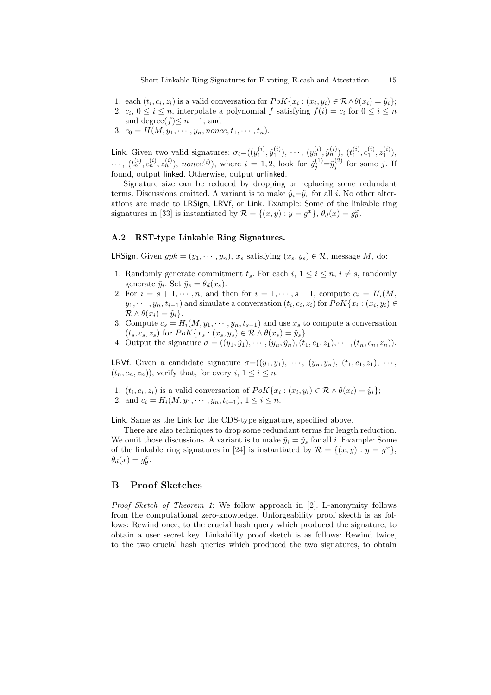1. each  $(t_i, c_i, z_i)$  is a valid conversation for  $PoK\{x_i : (x_i, y_i) \in \mathcal{R} \land \theta(x_i) = \tilde{y}_i\};$ 2.  $c_i$ ,  $0 \le i \le n$ , interpolate a polynomial f satisfying  $f(i) = c_i$  for  $0 \le i \le n$ 

and degree $(f) \leq n - 1$ ; and 3.  $c_0 = H(M, y_1, \dots, y_n, \text{nonce}, t_1, \dots, t_n).$ 

Link. Given two valid signatures:  $\sigma_i = ((y_1^{(i)}, \tilde{y}_1^{(i)}), \cdots, (y_n^{(i)}, \tilde{y}_n^{(i)}), (t_1^{(i)}, c_1^{(i)}, z_1^{(i)}),$  $\cdots, (t_n^{(i)}, c_n^{(i)}, z_n^{(i)})$ , nonce<sup>(i)</sup>), where  $i = 1, 2$ , look for  $\tilde{y}_j^{(1)} = \tilde{y}_j^{(2)}$  for some j. If found, output linked. Otherwise, output unlinked.

Signature size can be reduced by dropping or replacing some redundant terms. Discussions omitted. A variant is to make  $\tilde{y}_i = \tilde{y}_s$  for all i. No other alterations are made to LRSign, LRVf, or Link. Example: Some of the linkable ring signatures in [33] is instantiated by  $\mathcal{R} = \{(x, y) : y = g^x\}, \theta_d(x) = g^x_{\theta}$ .

### A.2 RST-type Linkable Ring Signatures.

**LRSign.** Given  $qpk = (y_1, \dots, y_n)$ ,  $x_s$  satisfying  $(x_s, y_s) \in \mathcal{R}$ , message M, do:

- 1. Randomly generate commitment  $t_s$ . For each  $i, 1 \leq i \leq n, i \neq s$ , randomly generate  $\tilde{y}_i$ . Set  $\tilde{y}_s = \theta_d(x_s)$ .
- 2. For  $i = s + 1, \dots, n$ , and then for  $i = 1, \dots, s 1$ , compute  $c_i = H_i(M,$  $y_1, \dots, y_n, t_{i-1}$  and simulate a conversation  $(t_i, c_i, z_i)$  for  $PoK\{x_i : (x_i, y_i) \in$  $\mathcal{R} \wedge \theta(x_i) = \tilde{y}_i$ .
- 3. Compute  $c_s = H_i(M, y_1, \dots, y_n, t_{s-1})$  and use  $x_s$  to compute a conversation  $(t_s, c_s, z_s)$  for  $PoK\{x_s : (x_s, y_s) \in \mathcal{R} \wedge \theta(x_s) = \tilde{y}_s\}.$
- 4. Output the signature  $\sigma = ((y_1, \tilde{y}_1), \cdots, (y_n, \tilde{y}_n), (t_1, c_1, z_1), \cdots, (t_n, c_n, z_n)).$

LRVf. Given a candidate signature  $\sigma = ((y_1, \tilde{y}_1), \cdots, (y_n, \tilde{y}_n), (t_1, c_1, z_1), \cdots,$  $(t_n, c_n, z_n)$ , verify that, for every  $i, 1 \leq i \leq n$ ,

- 1.  $(t_i, c_i, z_i)$  is a valid conversation of  $PoK\{x_i : (x_i, y_i) \in \mathcal{R} \wedge \theta(x_i) = \tilde{y}_i\};$
- 2. and  $c_i = H_i(M, y_1, \dots, y_n, t_{i-1}), 1 \leq i \leq n$ .

Link. Same as the Link for the CDS-type signature, specified above.

There are also techniques to drop some redundant terms for length reduction. We omit those discussions. A variant is to make  $\tilde{y}_i = \tilde{y}_s$  for all i. Example: Some of the linkable ring signatures in [24] is instantiated by  $\mathcal{R} = \{(x, y) : y = g^x\},\$  $\theta_d(x) = g_{\theta}^x.$ 

## B Proof Sketches

Proof Sketch of Theorem 1: We follow approach in [2]. L-anonymity follows from the computational zero-knowledge. Unforgeability proof skecth is as follows: Rewind once, to the crucial hash query which produced the signature, to obtain a user secret key. Linkability proof sketch is as follows: Rewind twice, to the two crucial hash queries which produced the two signatures, to obtain